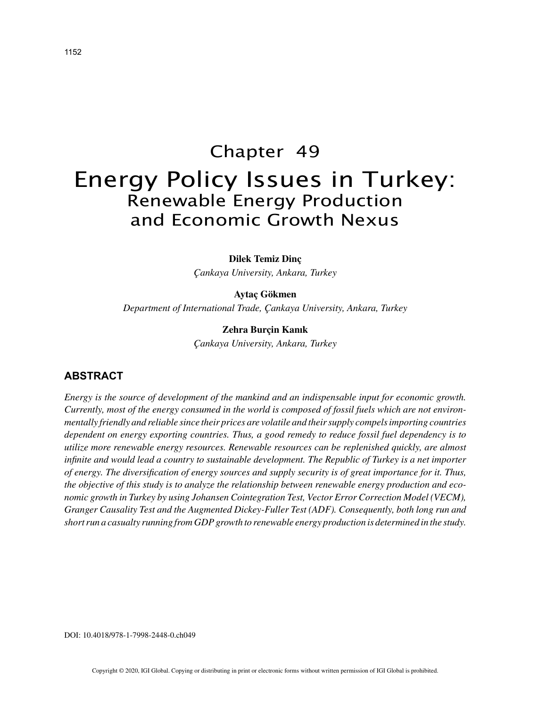# Chapter 49 Energy Policy Issues in Turkey: Renewable Energy Production and Economic Growth Nexus

**Dilek Temiz Dinç**

*Çankaya University, Ankara, Turkey*

**Aytaç Gökmen** *Department of International Trade, Çankaya University, Ankara, Turkey*

> **Zehra Burçin Kanık** *Çankaya University, Ankara, Turkey*

## **ABSTRACT**

*Energy is the source of development of the mankind and an indispensable input for economic growth. Currently, most of the energy consumed in the world is composed of fossil fuels which are not environmentally friendly and reliable since their prices are volatile and their supply compels importing countries dependent on energy exporting countries. Thus, a good remedy to reduce fossil fuel dependency is to utilize more renewable energy resources. Renewable resources can be replenished quickly, are almost infinite and would lead a country to sustainable development. The Republic of Turkey is a net importer of energy. The diversification of energy sources and supply security is of great importance for it. Thus, the objective of this study is to analyze the relationship between renewable energy production and economic growth in Turkey by using Johansen Cointegration Test, Vector Error Correction Model (VECM), Granger Causality Test and the Augmented Dickey-Fuller Test (ADF). Consequently, both long run and short run a casualty running from GDP growth to renewable energy production is determined in the study.*

DOI: 10.4018/978-1-7998-2448-0.ch049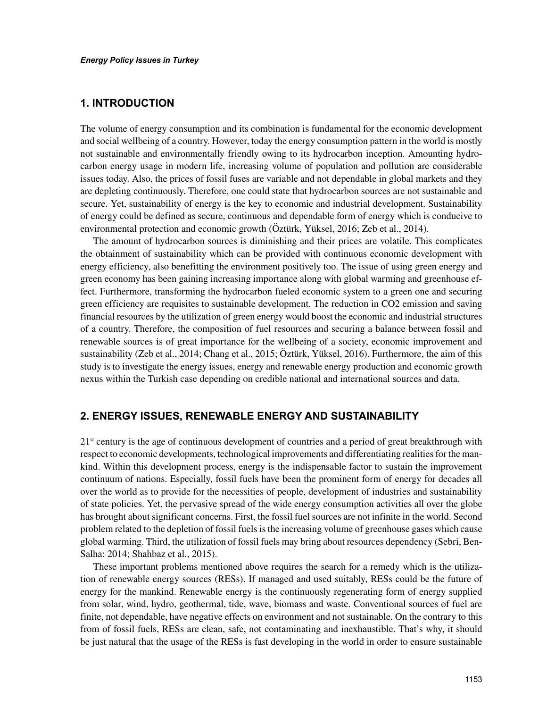# **1. INTRODUCTION**

The volume of energy consumption and its combination is fundamental for the economic development and social wellbeing of a country. However, today the energy consumption pattern in the world is mostly not sustainable and environmentally friendly owing to its hydrocarbon inception. Amounting hydrocarbon energy usage in modern life, increasing volume of population and pollution are considerable issues today. Also, the prices of fossil fuses are variable and not dependable in global markets and they are depleting continuously. Therefore, one could state that hydrocarbon sources are not sustainable and secure. Yet, sustainability of energy is the key to economic and industrial development. Sustainability of energy could be defined as secure, continuous and dependable form of energy which is conducive to environmental protection and economic growth (Öztürk, Yüksel, 2016; Zeb et al., 2014).

The amount of hydrocarbon sources is diminishing and their prices are volatile. This complicates the obtainment of sustainability which can be provided with continuous economic development with energy efficiency, also benefitting the environment positively too. The issue of using green energy and green economy has been gaining increasing importance along with global warming and greenhouse effect. Furthermore, transforming the hydrocarbon fueled economic system to a green one and securing green efficiency are requisites to sustainable development. The reduction in CO2 emission and saving financial resources by the utilization of green energy would boost the economic and industrial structures of a country. Therefore, the composition of fuel resources and securing a balance between fossil and renewable sources is of great importance for the wellbeing of a society, economic improvement and sustainability (Zeb et al., 2014; Chang et al., 2015; Öztürk, Yüksel, 2016). Furthermore, the aim of this study is to investigate the energy issues, energy and renewable energy production and economic growth nexus within the Turkish case depending on credible national and international sources and data.

### **2. ENERGY ISSUES, RENEWABLE ENERGY AND SUSTAINABILITY**

 $21<sup>st</sup>$  century is the age of continuous development of countries and a period of great breakthrough with respect to economic developments, technological improvements and differentiating realities for the mankind. Within this development process, energy is the indispensable factor to sustain the improvement continuum of nations. Especially, fossil fuels have been the prominent form of energy for decades all over the world as to provide for the necessities of people, development of industries and sustainability of state policies. Yet, the pervasive spread of the wide energy consumption activities all over the globe has brought about significant concerns. First, the fossil fuel sources are not infinite in the world. Second problem related to the depletion of fossil fuels is the increasing volume of greenhouse gases which cause global warming. Third, the utilization of fossil fuels may bring about resources dependency (Sebri, Ben-Salha: 2014; Shahbaz et al., 2015).

These important problems mentioned above requires the search for a remedy which is the utilization of renewable energy sources (RESs). If managed and used suitably, RESs could be the future of energy for the mankind. Renewable energy is the continuously regenerating form of energy supplied from solar, wind, hydro, geothermal, tide, wave, biomass and waste. Conventional sources of fuel are finite, not dependable, have negative effects on environment and not sustainable. On the contrary to this from of fossil fuels, RESs are clean, safe, not contaminating and inexhaustible. That's why, it should be just natural that the usage of the RESs is fast developing in the world in order to ensure sustainable